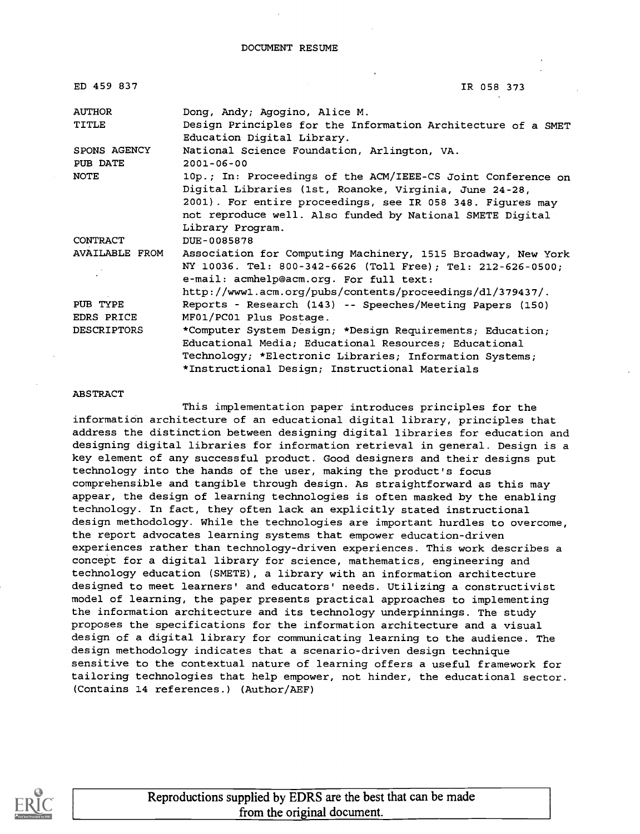| ED 459 837               | IR 058 373                                                                                                              |
|--------------------------|-------------------------------------------------------------------------------------------------------------------------|
| <b>AUTHOR</b>            | Dong, Andy; Agogino, Alice M.                                                                                           |
| TITLE                    | Design Principles for the Information Architecture of a SMET<br>Education Digital Library.                              |
| SPONS AGENCY<br>PUB DATE | National Science Foundation, Arlington, VA.<br>$2001 - 06 - 00$                                                         |
| <b>NOTE</b>              | 10p.; In: Proceedings of the ACM/IEEE-CS Joint Conference on<br>Digital Libraries (1st, Roanoke, Virginia, June 24-28,  |
|                          | 2001). For entire proceedings, see IR 058 348. Figures may<br>not reproduce well. Also funded by National SMETE Digital |
|                          | Library Program.                                                                                                        |
| <b>CONTRACT</b>          | DUE-0085878                                                                                                             |
| AVAILABLE FROM           | Association for Computing Machinery, 1515 Broadway, New York                                                            |
|                          | NY 10036. Tel: 800-342-6626 (Toll Free); Tel: 212-626-0500;                                                             |
|                          | e-mail: acmhelp@acm.org. For full text:                                                                                 |
|                          | http://www1.acm.org/pubs/contents/proceedings/dl/379437/.                                                               |
| PUB TYPE                 | Reports - Research (143) -- Speeches/Meeting Papers (150)                                                               |
| <b>EDRS PRICE</b>        | MF01/PC01 Plus Postage.                                                                                                 |
| <b>DESCRIPTORS</b>       | *Computer System Design; *Design Requirements; Education;                                                               |
|                          | Educational Media; Educational Resources; Educational                                                                   |
|                          | Technology; *Electronic Libraries; Information Systems;                                                                 |
|                          | *Instructional Design; Instructional Materials                                                                          |

# ABSTRACT

This implementation paper introduces principles for the information architecture of an educational digital library, principles that address the distinction between designing digital libraries for education and designing digital libraries for information retrieval in general. Design is a key element of any successful product. Good designers and their designs put technology into the hands of the user, making the product's focus comprehensible and tangible through design. As straightforward as this may appear, the design of learning technologies is often masked by the enabling technology. In fact, they often lack an explicitly stated instructional design methodology. While the technologies are important hurdles to overcome, the report advocates learning systems that empower education-driven experiences rather than technology-driven experiences. This work describes a concept for a digital library for science, mathematics, engineering and technology education (SMETE), a library with an information architecture designed to meet learners' and educators' needs. Utilizing a constructivist model of learning, the paper presents practical approaches to implementing the information architecture and its technology underpinnings. The study proposes the specifications for the information architecture and a visual design of a digital library for communicating learning to the audience. The design methodology indicates that a scenario-driven design technique sensitive to the contextual nature of learning offers a useful framework for tailoring technologies that help empower, not hinder, the educational sector. (Contains 14 references.) (Author/AEF)

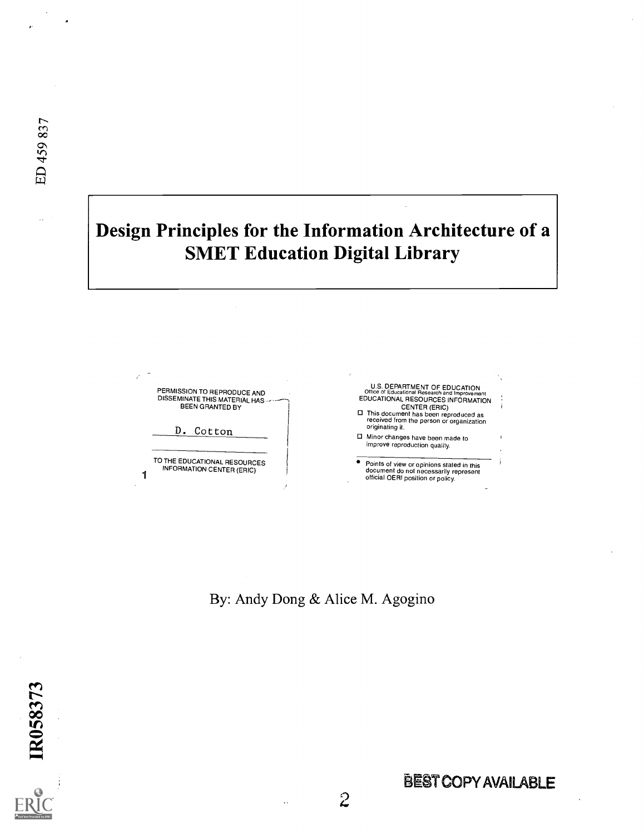# Design Principles for the Information Architecture of a SMET Education Digital Library



1

| U.S. DEPARTMENT OF EDUCATION<br>Office of Educational Research and Improvement<br>EDUCATIONAL RESOURCES INFORMATION<br>CENTER (ERIC)<br>□ This document has been reproduced as<br>received from the person or organization<br>originating it. |  |
|-----------------------------------------------------------------------------------------------------------------------------------------------------------------------------------------------------------------------------------------------|--|
| □ Minor changes have been made to<br>improve reproduction quality.                                                                                                                                                                            |  |
| Points of view or opinions stated in this<br>document do not necessarily represent<br>official OERI position or policy.                                                                                                                       |  |

By: Andy Dong & Alice M. Agogino

 $\hat{z}$ 

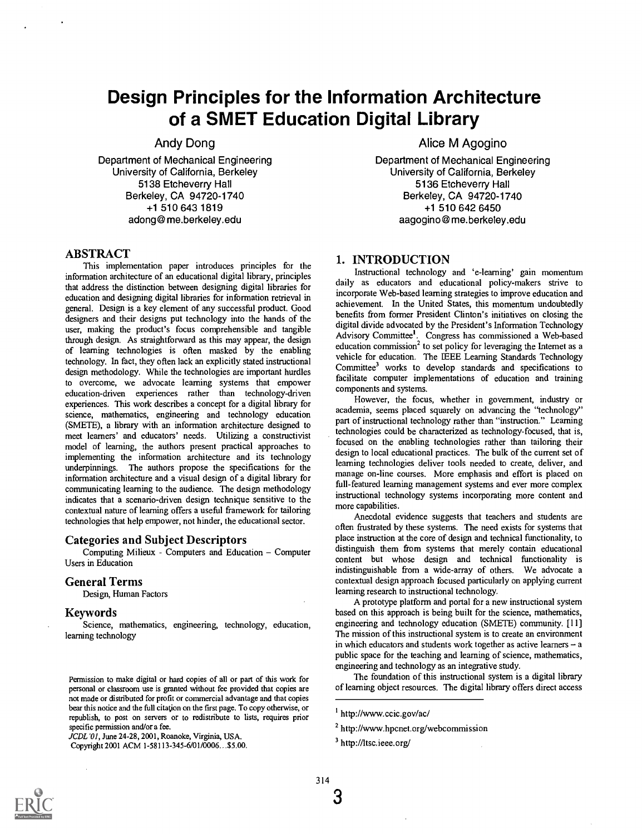# Design Principles for the Information Architecture of a SMET Education Digital Library

Andy Dong

Department of Mechanical Engineering University of California, Berkeley 5138 Etcheverry Hall Berkeley, CA 94720-1740 +1 510 643 1819 adong@me.berkeley.edu

# ABSTRACT

This implementation paper introduces principles for the information architecture of an educational digital library, principles that address the distinction between designing digital libraries for education and designing digital libraries for information retrieval in general. Design is a key element of any successful product. Good designers and their designs put technology into the hands of the user, making the product's focus comprehensible and tangible through design. As straightforward as this may appear, the design of learning technologies is often masked by the enabling technology. In fact, they often lack an explicitly stated instructional design methodology. While the technologies are important hurdles to overcome, we advocate learning systems that empower education-driven experiences rather than technology-driven experiences. This work describes a concept for a digital library for science, mathematics, engineering and technology education (SMETE), a library with an information architecture designed to meet learners' and educators' needs. Utilizing a constructivist model of learning, the authors present practical approaches to implementing the information architecture and its technology underpinnings. The authors propose the specifications for the information architecture and a visual design of a digital library for communicating learning to the audience. The design methodology indicates that a scenario-driven design technique sensitive to the contextual nature of learning offers a useful framework for tailoring technologies that help empower, not hinder, the educational sector.

# Categories and Subject Descriptors

Computing Milieux - Computers and Education - Computer Users in Education

#### General Terms

Design, Human Factors

#### Keywords

Science, mathematics, engineering, technology, education, learning technology

Copyright 2001 ACM I -58113-345-6/01/0006...\$5.00.

Alice M Agogino

Department of Mechanical Engineering University of California, Berkeley 5136 Etcheverry Hall Berkeley, CA 94720-1740 +1 510 642 6450 aagogino@me.berkeley.edu

# 1. INTRODUCTION

Instructional technology and `e-learning' gain momentum daily as educators and educational policy-makers strive to incorporate Web-based learning strategies to improve education and achievement. In the United States, this momentum undoubtedly benefits from former President Clinton's initiatives on closing the digital divide advocated by the President's Information Technology Advisory Committee'. Congress has commissioned a Web-based education commission<sup>2</sup> to set policy for leveraging the Internet as a vehicle for education. The IEEE Learning Standards Technology Committee3 works to develop standards and specifications to facilitate computer implementations of education and training components and systems.

However, the focus, whether in government, industry or academia, seems placed squarely on advancing the "technology" part of instructional technology rather than "instruction." Learning technologies could be characterized as technology-focused, that is, focused on the enabling technologies rather than tailoring their design to local educational practices. The bulk of the current set of learning technologies deliver tools needed to create, deliver, and manage on-line courses. More emphasis and effort is placed on full-featured learning management systems and ever more complex instructional technology systems incorporating more content and more capabilities.

Anecdotal evidence suggests that teachers and students are often frustrated by these systems. The need exists for systems that place instruction at the core of design and technical functionality, to distinguish them from systems that merely contain educational content but whose design and technical functionality is indistinguishable from a wide-array of others. We advocate a contextual design approach focused particularly on applying current learning research to instructional technology.

A prototype platform and portal for a new instructional system based on this approach is being built for the science, mathematics, engineering and technology education (SMETE) community. [11] The mission of this instructional system is to create an environment in which educators and students work together as active learners  $-$  a public space for the teaching and learning of science, mathematics, engineering and technology as an integrative study.

The foundation of this instructional system is a digital library of learning object resources. The digital library offers direct access



Permission to make digital or hard copies of all or part of this work for personal or classroom use is granted without fee provided that copies are not made or distributed for profit or commercial advantage and that copies bear this notice and the full citation on the first page. To copy otherwise, or republish, to post on servers or to redistribute to lists, requires prior specific permission and/or a fee.

JCDL '01, June 24-28, 2001, Roanoke, Virginia, USA.

http://www.ccic.gov/ac/

<sup>2</sup> http://www.hpcnet.org/webcommission

<sup>3</sup> http://ltsc.ieee.org/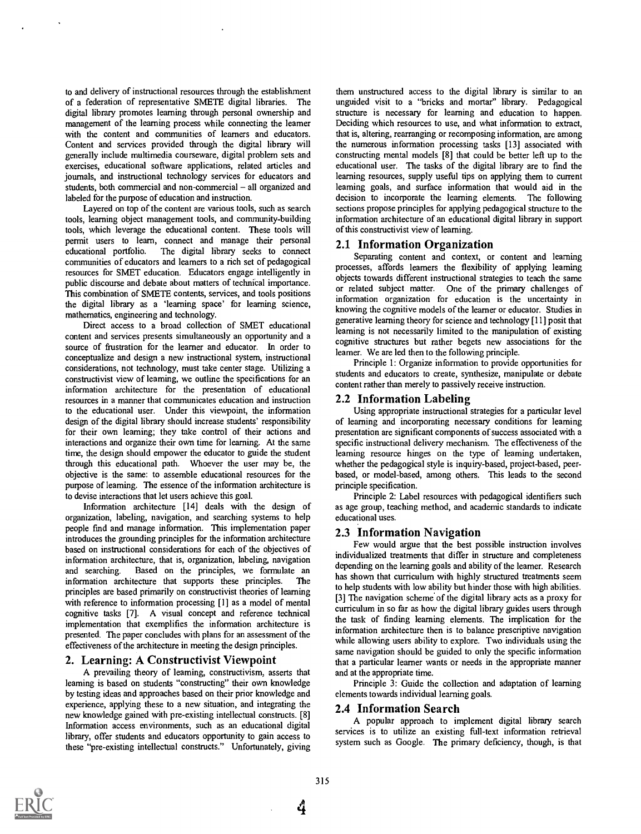to and delivery of instructional resources through the establishment of a federation of representative SMETE digital libraries. The digital library promotes learning through personal ownership and management of the learning process while connecting the learner with the content and communities of learners and educators. Content and services provided through the digital library will generally include multimedia courseware, digital problem sets and exercises, educational software applications, related articles and journals, and instructional technology services for educators and students, both commercial and non-commercial – all organized and labeled for the purpose of education and instruction.

Layered on top of the content are various tools, such as search tools, learning object management tools, and community-building tools, which leverage the educational content. These tools will permit users to learn, connect and manage their personal The digital library seeks to connect communities of educators and learners to a rich set of pedagogical resources for SMET education. Educators engage intelligently in public discourse and debate about matters of technical importance. This combination of SMETE contents, services, and tools positions the digital library as a 'learning space' for learning science, mathematics, engineering and technology.

Direct access to a broad collection of SMET educational content and services presents simultaneously an opportunity and a source of frustration for the learner and educator. In order to conceptualize and design a new instructional system, instructional considerations, not technology, must take center stage. Utilizing a constructivist view of learning, we outline the specifications for an information architecture for the presentation of educational resources in a manner that communicates education and instruction to the educational user. Under this viewpoint, the information design of the digital library should increase students' responsibility for their own learning; they take control of their actions and interactions and organize their own time for learning. At the same time, the design should empower the educator to guide the student through this educational path. Whoever the user may be, the objective is the same: to assemble educational resources for the purpose of learning. The essence of the information architecture is to devise interactions that let users achieve this goal.

Information architecture [14] deals with the design of organization, labeling, navigation, and searching systems to help people fmd and manage information. This implementation paper introduces the grounding principles for the information architecture based on instructional considerations for each of the objectives of information architecture, that is, organization, labeling, navigation and searching. Based on the principles, we formulate an information architecture that supports these principles. The principles are based primarily on constructivist theories of learning with reference to information processing [1] as a model of mental cognitive tasks [7]. A visual concept and reference technical implementation that exemplifies the information architecture is presented. The paper concludes with plans for an assessment of the effectiveness of the architecture in meeting the design principles.

### 2. Learning: A Constructivist Viewpoint

A prevailing theory of learning, constructivism, asserts that learning is based on students "constructing" their own knowledge by testing ideas and approaches based on their prior knowledge and experience, applying these to a new situation, and integrating the new knowledge gained with pre-existing intellectual constructs. [8] Information access environments, such as an educational digital library, offer students and educators opportunity to gain access to these "pre-existing intellectual constructs." Unfortunately, giving them unstructured access to the digital library is similar to an unguided visit to a "bricks and mortar" library. Pedagogical structure is necessary for learning and education to happen. Deciding which resources to use, and what information to extract, that is, altering, rearranging or recomposing information, are among the numerous information processing tasks [13] associated with constructing mental models [8] that could be better left up to the educational user. The tasks of the digital library are to find the learning resources, supply useful tips on applying them to current learning goals, and surface information that would aid in the decision to incorporate the learning elements. The following sections propose principles for applying pedagogical structure to the information architecture of an educational digital library in support of this constructivist view of learning.

#### 2.1 Information Organization

Separating content and context, or content and learning processes, affords leamers the flexibility of applying leaming objects towards different instructional strategies to teach the same or related subject matter. One of the primary challenges of information organization for education is the uncertainty in knowing the cognitive models of the learner or educator. Studies in generative learning theory for science and technology [11] posit that learning is not necessarily limited to the manipulation of existing cognitive structures but rather begets new associations for the learner. We are led then to the following principle.

Principle 1: Organize information to provide opportunities for students and educators to create, synthesize, manipulate or debate content rather than merely to passively receive instruction.

### 2.2 Information Labeling

Using appropriate instructional strategies for a particular level of learning and incorporating necessary conditions for learning presentation are significant components of success associated with a specific instructional delivery mechanism. The effectiveness of the learning resource hinges on the type of learning undertaken, whether the pedagogical style is inquiry-based, project-based, peerbased, or model-based, among others. This leads to the second principle specification.

Principle 2: Label resources with pedagogical identifiers such as age group, teaching method, and academic standards to indicate educational uses.

# 2.3 Information Navigation

Few would argue that the best possible instruction involves individualized treatments that differ in structure and completeness depending on the learning goals and ability of the learner. Research has shown that curriculum with highly structured treatments seem to help students with low ability but hinder those with high abilities. [3] The navigation scheme of the digital library acts as a proxy for curriculum in so far as how the digital library guides users through the task of finding learning elements. The implication for the information architecture then is to balance prescriptive navigation while allowing users ability to explore. Two individuals using the same navigation should be guided to only the specific information that a particular learner wants or needs in the appropriate manner and at the appropriate time.

Principle 3: Guide the collection and adaptation of learning elements towards individual learning goals.

#### 2.4 Information Search

A popular approach to implement digital library search services is to utilize an existing full-text information retrieval system such as Google. The primary deficiency, though, is that

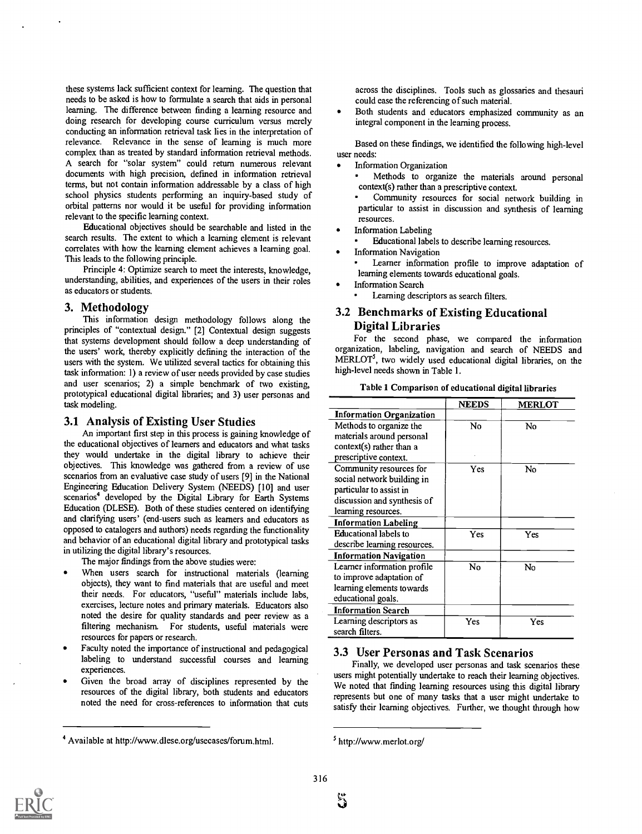these systems lack sufficient context for learning. The question that needs to be asked is how to formulate a search that aids in personal learning. The difference between finding a learning resource and doing research for developing course curriculum versus merely conducting an information retrieval task lies in the interpretation of relevance. Relevance in the sense of learning is much more complex than as treated by standard information retrieval methods. A search for "solar system" could return numerous relevant documents with high precision, defined in information retrieval terms, but not contain information addressable by a class of high school physics students performing an inquiry-based study of orbital patterns nor would it be useful for providing information relevant to the specific learning context.

Educational objectives should be searchable and listed in the search results. The extent to which a learning element is relevant correlates with how the learning element achieves a learning goal. This leads to the following principle.

Principle 4: Optimize search to meet the interests, knowledge, understanding, abilities, and experiences of the users in their roles as educators or students.

#### 3. Methodology

This information design methodology follows along the principles of "contextual design." [2] Contextual design suggests that systems development should follow a deep understanding of the users' work, thereby explicitly defming the interaction of the users with the system. We utilized several tactics for obtaining this task information: 1) a review of user needs provided by case studies and user scenarios; 2) a simple benchmark of two existing, prototypical educational digital libraries; and 3) user personas and task modeling.

# 3.1 Analysis of Existing User Studies

An important first step in this process is gaining knowledge of the educational objectives of learners and educators and what tasks they would undertake in the digital library to achieve their objectives. This knowledge was gathered from a review of use scenarios from an evaluative case study of users [9] in the National Engineering Education Delivery System (NEEDS) [10] and user scenarios<sup>4</sup> developed by the Digital Library for Earth Systems Education (DLESE). Both of these studies centered on identifying and clarifying users' (end-users such as learners and educators as opposed to catalogers and authors) needs regarding the functionality and behavior of an educational digital library and prototypical tasks in utilizing the digital library's resources.

The major findings from the above studies were:

- When users search for instructional materials (learning objects), they want to find materials that are useful and meet their needs. For educators, "useful" materials include labs, exercises, lecture notes and primary materials. Educators also noted the desire for quality standards and peer review as a filtering mechanism. For students, useful materials were resources for papers or research.
- Faculty noted the importance of instructional and pedagogical labeling to understand successful courses and learning experiences.
- Given the broad array of disciplines represented by the resources of the digital library, both students and educators noted the need for cross-references to information that cuts

across the disciplines. Tools such as glossaries and thesauri could ease the referencing of such material.

Both students and educators emphasized community as an integral component in the learning process.

Based on these findings, we identified the following high-level user needs:

- Information Organization
	- Methods to organize the materials around personal context(s) rather than a prescriptive context.
	- Community resources for social network building in particular to assist in discussion and synthesis of learning resources.
- Information Labeling
	- Educational labels to describe learning resources.
- Information Navigation

Learner information profile to improve adaptation of learning elements towards educational goals.

- Information Search
	- Learning descriptors as search filters.

# 3.2 Benchmarks of Existing Educational Digital Libraries

For the second phase, we compared the information organization, labeling, navigation and search of NEEDS and  $MERLOT<sup>5</sup>$ , two widely used educational digital libraries, on the high-level needs shown in Table 1.

| Table 1 Comparison of educational digital libraries |  |
|-----------------------------------------------------|--|
|-----------------------------------------------------|--|

|                                 | <b>NEEDS</b> | <b>MERLOT</b> |
|---------------------------------|--------------|---------------|
| <b>Information Organization</b> |              |               |
| Methods to organize the         | No           | No            |
| materials around personal       |              |               |
| context(s) rather than a        |              |               |
| prescriptive context.           |              |               |
| Community resources for         | Yes          | N٥            |
| social network building in      |              |               |
| particular to assist in         |              |               |
| discussion and synthesis of     |              |               |
| learning resources.             |              |               |
| <b>Information Labeling</b>     |              |               |
| <b>Educational labels to</b>    | Yes          | Yes           |
| describe learning resources.    |              |               |
| <b>Information Navigation</b>   |              |               |
| Learner information profile     | No           | No            |
| to improve adaptation of        |              |               |
| learning elements towards       |              |               |
| educational goals.              |              |               |
| <b>Information Search</b>       |              |               |
| Learning descriptors as         | Yes          | Yes           |
| search filters.                 |              |               |

# 3.3 User Personas and Task Scenarios

Finally, we developed user personas and task scenarios these users might potentially undertake to reach their learning objectives. We noted that finding learning resources using this digital library represents but one of many tasks that a user might undertake to satisfy their learning objectives. Further, we thought through how



<sup>4</sup> Available at http://www.dlese.org/usecases/forum.html.

<sup>5</sup> http://www.merlot.org/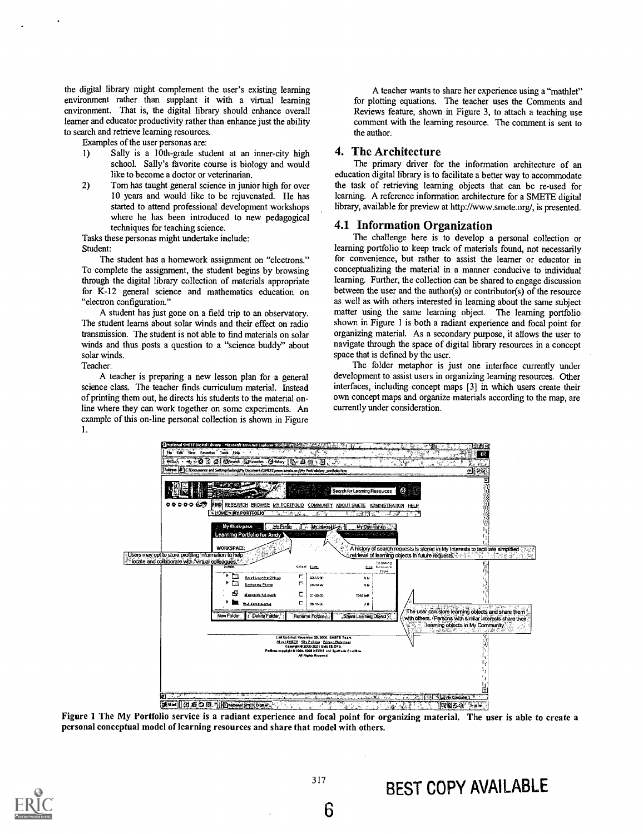the digital library might complement the user's existing learning environment rather than supplant it with a virtual learning environment. That is, the digital library should enhance overall learner and educator productivity rather than enhance just the ability to search and retrieve learning resources.

Examples of the user personas are:

- 1) Sally is a 10th-grade student at an inner-city high school. Sally's favorite course is biology and would like to become a doctor or veterinarian.
- 2) Tom has taught general science in junior high for over 10 years and would like to be rejuvenated. He has started to attend professional development workshops where he has been introduced to new pedagogical techniques for teaching science.

Tasks these personas might undertake include: Student:

The student has a homework assignment on "electrons." To complete the assignment, the student begins by browsing through the digital library collection of materials appropriate for K-12 general science and mathematics education on "electron configuration."

A student has just gone on a field trip to an observatory. The student learns about solar winds and their effect on radio transmission. The student is not able to find materials on solar winds and thus posts a question to a "science buddy" about solar winds.

Teacher:

A teacher is preparing a new lesson plan for a general science class. The teacher finds curriculum material. Instead of printing them out, he directs his students to the material online where they can work together on some experiments. An example of this on-line personal collection is shown in Figure 1.

A teacher wants to share her experience using a "mathlet" for plotting equations. The teacher uses the Comments and Reviews feature, shown in Figure 3, to attach a teaching use comment with the learning resource. The comment is sent to the author.

# 4. The Architecture

The primary driver for the information architecture of an education digital library is to facilitate a better way to accommodate the task of retrieving learning objects that can be re-used for learning. A reference information architecture for a SMETE digital library, available for preview at http://www.smete.org/, is presented.

# 4.1 Information Organization

The challenge here is to develop a personal collection or learning portfolio to keep track of materials found, not necessarily for convenience, but rather to assist the learner or educator in conceptualizing the material in a manner conducive to individual learning. Further, the collection can be shared to engage discussion between the user and the author(s) or contributor(s) of the resource as well as with others interested in learning about the same subject matter using the same learning object. The learning portfolio shown in Figure 1 is both a radiant experience and focal point for organizing material. As a secondary purpose, it allows the user to navigate through the space of digital library resources in a concept space that is defmed by the user.

The folder metaphor is just one interface currently under development to assist users in organizing learning resources. Other interfaces, including concept maps [3] in which users create their own concept maps and organize materials according to the map, are currently under consideration.



Figure 1 The My Portfolio service is a radiant experience and focal point for organizing material. The user is able to create a personal conceptual model of learning resources and share that model with others.



6

# BEST COPY AVAILABLE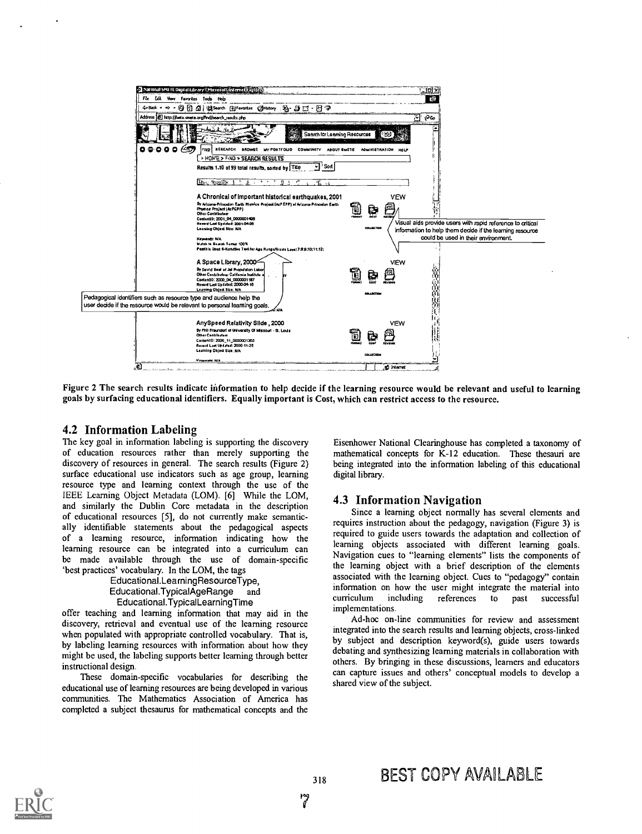

Figure 2 The search results indicate information to help decide if the learning resource would be relevant and useful to learning goals by surfacing educational identifiers. Equally important is Cost, which can restrict access to the resource.

# 4.2 Information Labeling

The key goal in information labeling is supporting the discovery of education resources rather than merely supporting the discovery of resources in general. The search results (Figure 2) surface educational use indicators such as age group, learning resource type and learning context through the use of the IEEE Learning Object Metadata (LOM). [6] While the LOM, and similarly the Dublin Core metadata in the description of educational resources [5], do not currently make semantically identifiable statements about the pedagogical aspects of a learning resource, information indicating how the learning resource can be integrated into a curriculum can be made available through the use of domain-specific 'best practices' vocabulary. In the LOM, the tags

> Educational.LearningResourceType, Educational.TypicalAgeRange and Educational.TypicalLearningTime

offer teaching and learning information that may aid in the discovery, retrieval and eventual use of the learning resource when populated with appropriate controlled vocabulary. That is, by labeling learning resources with information about how they might be used, the labeling supports better learning through better instructional design.

These domain-specific vocabularies for describing the educational use of learning resources are being developed in various communities. The Mathematics Association of America has completed a subject thesaurus for mathematical concepts and the

Eisenhower National Clearinghouse has completed a taxonomy of mathematical concepts for K-12 education. These thesauri are being integrated into the information labeling of this educational digital library.

# 4.3 Information Navigation

Since a learning object normally has several elements and requires instruction about the pedagogy, navigation (Figure 3) is required to guide users towards the adaptation and collection of learning objects associated with different learning goals. Navigation cues to "learning elements" lists the components of the learning object with a brief description of the elements associated with the learning object. Cues to "pedagogy" contain information on how the user might integrate the material into curriculum including references to past successful implementations.

Ad-hoc on-line communities for review and assessment integrated into the search results and learning objects, cross-linked by subject and description keyword(s), guide users towards debating and synthesizing learning materials in collaboration with others. By bringing in these discussions, learners and educators can capture issues and others' conceptual models to develop a shared view of the subject.

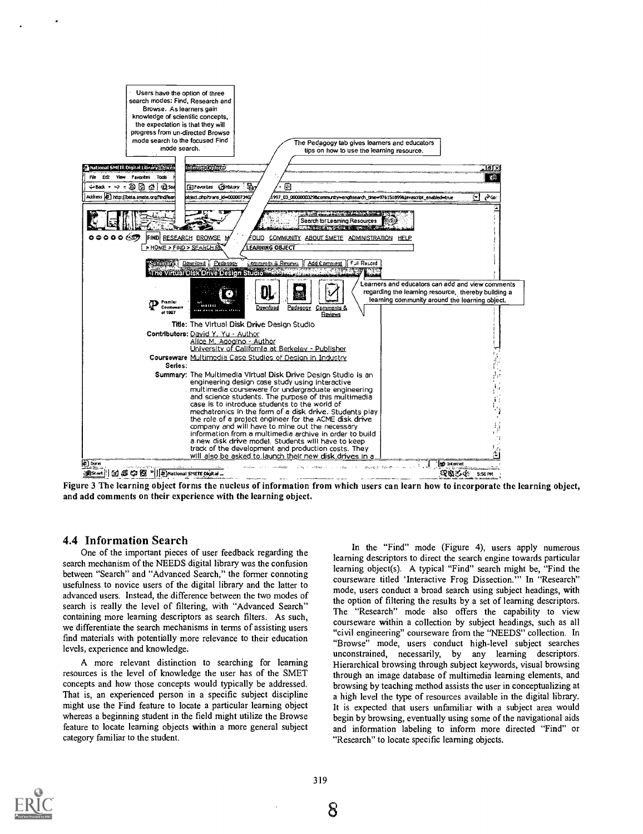

Figure 3 The learning object forms the nucleus of information from which users can learn how to incorporate the learning object, and add comments on their experience with the learning object.

# 4.4 Information Search

One of the important pieces of user feedback regarding the search mechanism of the NEEDS digital library was the confusion between "Search" and "Advanced Search," the former connoting usefulness to novice users of the digital library and the latter to advanced users. Instead, the difference between the two modes of search is really the level of filtering, with "Advanced Search" containing more learning descriptors as search filters. As such, we differentiate the search mechanisms in terms of assisting users find materials with potentially more relevance to their education levels, experience and knowledge.

A more relevant distinction to searching for learning resources is the level of knowledge the user has of the SMET concepts and how those concepts would typically be addressed. That is, an experienced person in a specific subject discipline might use the Find feature to locate a particular learning object whereas a beginning student in the field might utilize the Browse feature to locate learning objects within a more general subject category familiar to the student.

In the "Find" mode (Figure 4), users apply numerous learning descriptors to direct the search engine towards particular learning object(s). A typical "Find" search might be, "Find the courseware titled 'Interactive Frog Dissection." In "Research" mode, users conduct a broad search using subject headings, with the option of filtering the results by a set of learning descriptors. The "Research" mode also offers the capability to view courseware within a collection by subject headings, such as all "civil engineering" courseware from the "NEEDS" collection. In "Browse" mode, users conduct high-level subject searches unconstrained, necessarily, by any learning descriptors. Hierarchical browsing through subject keywords, visual browsing through an image database of multimedia learning elements, and browsing by teaching method assists the user in conceptualizing at a high level the type of resources available in the digital library. It is expected that users unfamiliar with a subject area would begin by browsing, eventually using some of the navigational aids and information labeling to inform more directed "Find" or "Research" to locate specific learning objects.

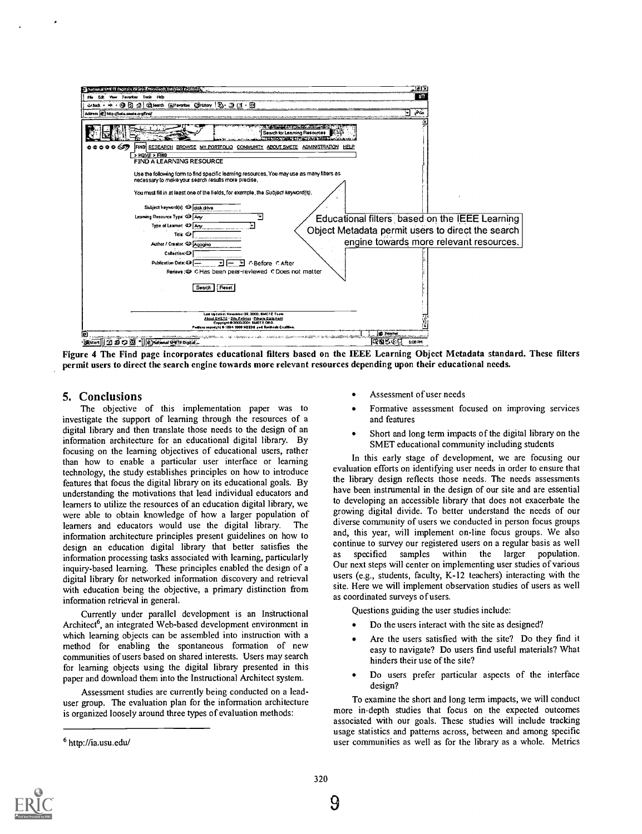

Figure 4 The Find page incorporates educational filters based on the IEEE Learning Object Metadata standard. These filters permit users to direct the search engine towards more relevant resources depending upon their educational needs.

# 5. Conclusions

The objective of this implementation paper was to investigate the support of learning through the resources of a digital library and then translate those needs to the design of an information architecture for an educational digital library. By focusing on the learning objectives of educational users, rather than how to enable a particular user interface or learning technology, the study establishes principles on how to introduce features that focus the digital library on its educational goals. By understanding the motivations that lead individual educators and learners to utilize the resources of an education digital library, we were able to obtain knowledge of how a larger population of learners and educators would use the digital library. The information architecture principles present guidelines on how to design an education digital library that better satisfies the information processing tasks associated with learning, particularly inquiry-based learning. These principles enabled the design of a digital library for networked information discovery and retrieval with education being the objective, a primary distinction from information retrieval in general.

Currently under parallel development is an Instructional Architect<sup>6</sup>, an integrated Web-based development environment in which learning objects can be assembled into instruction with a method for enabling the spontaneous formation of new communities of users based on shared interests. Users may search for learning objects using the digital library presented in this paper and download them into the Instructional Architect system.

Assessment studies are currently being conducted on a leaduser group. The evaluation plan for the information architecture is organized loosely around three types of evaluation methods:

- Assessment of user needs
- Formative assessment focused on improving services and features
- Short and long term impacts of the digital library on the SMET educational community including students

In this early stage of development, we are focusing our evaluation efforts on identifying user needs in order to ensure that the library design reflects those needs. The needs assessments have been instrumental in the design of our site and are essential to developing an accessible library that does not exacerbate the growing digital divide. To better understand the needs of our diverse community of users we conducted in person focus groups and, this year, will implement on-line focus groups. We also continue to survey our registered users on a regular basis as well specified samples within the larger population. **as** Our next steps will center on implementing user studies of various users (e.g., students, faculty, K-12 teachers) interacting with the site. Here we will implement observation studies of users as well as coordinated surveys of users.

Questions guiding the user studies include:

- Do the users interact with the site as designed?
- Are the users satisfied with the site? Do they find it easy to navigate? Do users find useful materials? What hinders their use of the site?
- Do users prefer particular aspects of the interface design?

To examine the short and long term impacts, we will conduct more in-depth studies that focus on the expected outcomes associated with our goals. These studies will include tracking usage statistics and patterns across, between and among specific user communities as well as for the library as a whole. Metrics



9

 $<sup>6</sup>$  http://ia.usu.edu/</sup>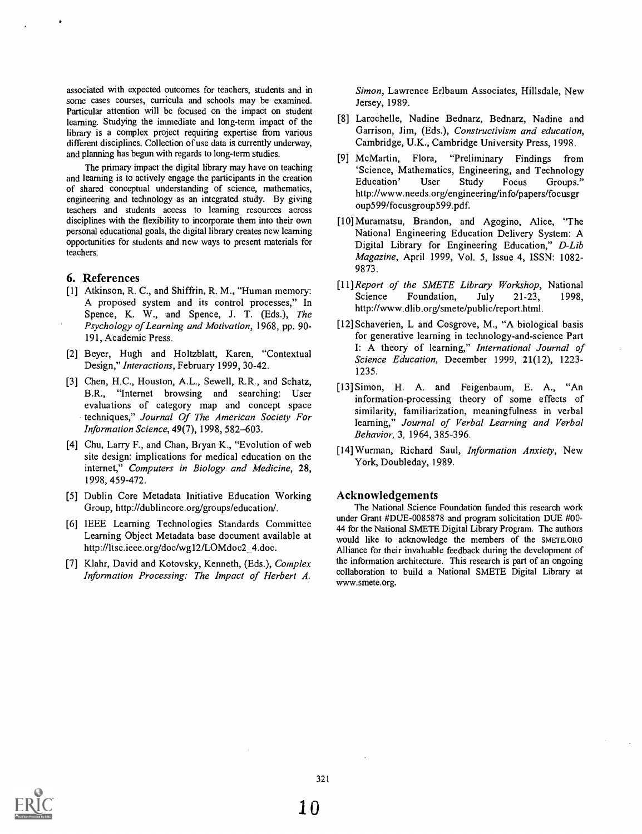associated with expected outcomes for teachers, students and in some cases courses, curricula and schools may be examined. Particular attention will be focused on the impact on student learning. Studying the immediate and long-term impact of the library is a complex project requiring expertise from various different disciplines. Collection of use data is currently underway, and planning has begun with regards to long-term studies.

The primary impact the digital library may have on teaching and learning is to actively engage the participants in the creation of shared conceptual understanding of science, mathematics, engineering and technology as an integrated study. By giving teachers and students access to learning resources across disciplines with the flexibility to incorporate them into their own personal educational goals, the digital library creates new learning opportunities for students and new ways to present materials for teachers.

#### 6. References

- [1] Atkinson, R. C., and Shiffrin, R. M., "Human memory: Atkinson, K. C., and Smith, K. M., Framan memory.<br>A proposed system and its control processes," In Spence, K. W., and Spence, J. T. (Eds.), The Psychology of Learning and Motivation, 1968, pp. 90- 191, Academic Press.
- [2] Beyer, Hugh and Holtzblatt, Karen, "Contextual Design," Interactions, February 1999, 30-42.
- Chen, H.C., Houston, A.L., Sewell, R.R., and Schatz, [3] B.R., "Internet browsing and searching: User evaluations of category map and concept space techniques," Journal Of The American Society For Information Science, 49(7), 1998, 582-603.
- [4] Chu, Larry F., and Chan, Bryan K., "Evolution of web site design: implications for medical education on the internet," Computers in Biology and Medicine, 28, 1998, 459-472.
- [5] Dublin Core Metadata Initiative Education Working Ack! Group, http://dublincore.org/groups/education/.
- [6] IEEE Learning Technologies Standards Committee Learning Object Metadata base document available at http://ltsc.ieee.org/doc/wg12/L0Mdoc2\_4.doc.
- [7] Klahr, David and Kotovsky, Kenneth, (Eds.),  $Complex$  the in Information Processing: The Impact of Herbert A.

Simon, Lawrence Erlbaum Associates, Hillsdale, New Jersey, 1989.

- [8] Larochelle, Nadine Bednarz, Bednarz, Nadine and Garrison, Jim, (Eds.), Constructivism and education, Cambridge, U.K., Cambridge University Press, 1998.
- Flora, "Preliminary Findings from 'Science, Mathematics, Engineering, and Technology Education' User Study Focus Groups." http://www.needs.org/engineering/info/papers/focusgr oup599/focusgroup599.pdf. [9] McMartin.
- [10] Muramatsu, Brandon, and Agogino, Alice, "The National Engineering Education Delivery System: A Digital Library for Engineering Education," D-Lib Magazine, April 1999, Vol. 5, Issue 4, ISSN: 1082- 9873.
- [11] Report of the SMETE Library Workshop, National Foundation, July 21-23, 1998, http://www.dlib.org/smete/public/report.html.
- [12] Schaverien, L and Cosgrove, M., "A biological basis for generative learning in technology-and-science Part I: A theory of learning," International Journal of Science Education, December 1999, 21(12), 1223-1235.
- [13] Simon, H. A. and Feigenbaum, E. A., "An information-processing theory of some effects of similarity, familiarization, meaningfulness in verbal learning," Journal of Verbal Learning and Verbal Behavior, 3, 1964, 385-396.
- [14] Wurman, Richard Saul, Information Anxiety, New York, Doubleday, 1989.

#### Acknowledgements

The National Science Foundation funded this research work under Grant #DUE-0085878 and program solicitation DUE #00- 44 for the National SMETE Digital Library Program. The authors would like to acknowledge the members of the SMETE.ORG Alliance for their invaluable feedback during the development of the information architecture. This research is part of an ongoing collaboration to build a National SMETE Digital Library at www.smete.org.